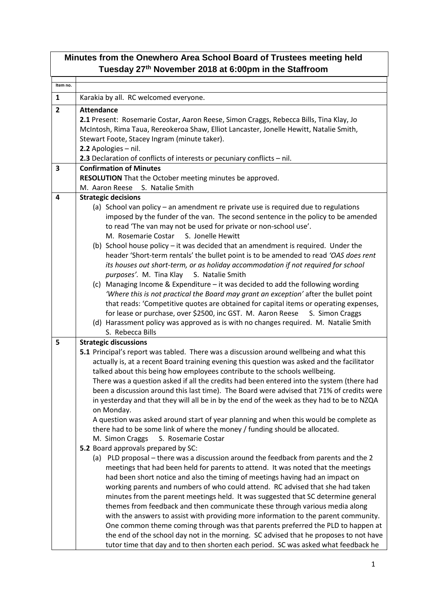| Minutes from the Onewhero Area School Board of Trustees meeting held<br>Tuesday 27 <sup>th</sup> November 2018 at 6:00pm in the Staffroom |                                                                                                                                                                                  |  |
|-------------------------------------------------------------------------------------------------------------------------------------------|----------------------------------------------------------------------------------------------------------------------------------------------------------------------------------|--|
| Item no.                                                                                                                                  |                                                                                                                                                                                  |  |
| $\mathbf{1}$                                                                                                                              | Karakia by all. RC welcomed everyone.                                                                                                                                            |  |
|                                                                                                                                           |                                                                                                                                                                                  |  |
| $\overline{\mathbf{2}}$                                                                                                                   | <b>Attendance</b>                                                                                                                                                                |  |
|                                                                                                                                           | 2.1 Present: Rosemarie Costar, Aaron Reese, Simon Craggs, Rebecca Bills, Tina Klay, Jo<br>McIntosh, Rima Taua, Rereokeroa Shaw, Elliot Lancaster, Jonelle Hewitt, Natalie Smith, |  |
|                                                                                                                                           | Stewart Foote, Stacey Ingram (minute taker).                                                                                                                                     |  |
|                                                                                                                                           | 2.2 Apologies - nil.                                                                                                                                                             |  |
|                                                                                                                                           | 2.3 Declaration of conflicts of interests or pecuniary conflicts $-$ nil.                                                                                                        |  |
| 3                                                                                                                                         | <b>Confirmation of Minutes</b>                                                                                                                                                   |  |
|                                                                                                                                           | RESOLUTION That the October meeting minutes be approved.                                                                                                                         |  |
|                                                                                                                                           | M. Aaron Reese S. Natalie Smith                                                                                                                                                  |  |
| 4                                                                                                                                         | <b>Strategic decisions</b>                                                                                                                                                       |  |
|                                                                                                                                           | (a) School van policy - an amendment re private use is required due to regulations                                                                                               |  |
|                                                                                                                                           | imposed by the funder of the van. The second sentence in the policy to be amended                                                                                                |  |
|                                                                                                                                           | to read 'The van may not be used for private or non-school use'.                                                                                                                 |  |
|                                                                                                                                           | M. Rosemarie Costar S. Jonelle Hewitt                                                                                                                                            |  |
|                                                                                                                                           | (b) School house policy - it was decided that an amendment is required. Under the<br>header 'Short-term rentals' the bullet point is to be amended to read 'OAS does rent        |  |
|                                                                                                                                           | its houses out short-term, or as holiday accommodation if not required for school                                                                                                |  |
|                                                                                                                                           | purposes'. M. Tina Klay<br>S. Natalie Smith                                                                                                                                      |  |
|                                                                                                                                           | (c) Managing Income & Expenditure - it was decided to add the following wording                                                                                                  |  |
|                                                                                                                                           | 'Where this is not practical the Board may grant an exception' after the bullet point                                                                                            |  |
|                                                                                                                                           | that reads: 'Competitive quotes are obtained for capital items or operating expenses,                                                                                            |  |
|                                                                                                                                           | for lease or purchase, over \$2500, inc GST. M. Aaron Reese S. Simon Craggs                                                                                                      |  |
|                                                                                                                                           | (d) Harassment policy was approved as is with no changes required. M. Natalie Smith                                                                                              |  |
|                                                                                                                                           | S. Rebecca Bills                                                                                                                                                                 |  |
| 5                                                                                                                                         | <b>Strategic discussions</b>                                                                                                                                                     |  |
|                                                                                                                                           | 5.1 Principal's report was tabled. There was a discussion around wellbeing and what this                                                                                         |  |
|                                                                                                                                           | actually is, at a recent Board training evening this question was asked and the facilitator<br>talked about this being how employees contribute to the schools wellbeing         |  |
|                                                                                                                                           | There was a question asked if all the credits had been entered into the system (there had                                                                                        |  |
|                                                                                                                                           | been a discussion around this last time). The Board were advised that 71% of credits were                                                                                        |  |
|                                                                                                                                           | in yesterday and that they will all be in by the end of the week as they had to be to NZQA                                                                                       |  |
|                                                                                                                                           | on Monday.                                                                                                                                                                       |  |
|                                                                                                                                           | A question was asked around start of year planning and when this would be complete as                                                                                            |  |
|                                                                                                                                           | there had to be some link of where the money / funding should be allocated.                                                                                                      |  |
|                                                                                                                                           | M. Simon Craggs<br>S. Rosemarie Costar                                                                                                                                           |  |
|                                                                                                                                           | 5.2 Board approvals prepared by SC:                                                                                                                                              |  |
|                                                                                                                                           | (a) PLD proposal - there was a discussion around the feedback from parents and the 2                                                                                             |  |
|                                                                                                                                           | meetings that had been held for parents to attend. It was noted that the meetings                                                                                                |  |
|                                                                                                                                           | had been short notice and also the timing of meetings having had an impact on                                                                                                    |  |
|                                                                                                                                           | working parents and numbers of who could attend. RC advised that she had taken<br>minutes from the parent meetings held. It was suggested that SC determine general              |  |
|                                                                                                                                           | themes from feedback and then communicate these through various media along                                                                                                      |  |
|                                                                                                                                           | with the answers to assist with providing more information to the parent community.                                                                                              |  |
|                                                                                                                                           | One common theme coming through was that parents preferred the PLD to happen at                                                                                                  |  |
|                                                                                                                                           | the end of the school day not in the morning. SC advised that he proposes to not have                                                                                            |  |
|                                                                                                                                           | tutor time that day and to then shorten each period. SC was asked what feedback he                                                                                               |  |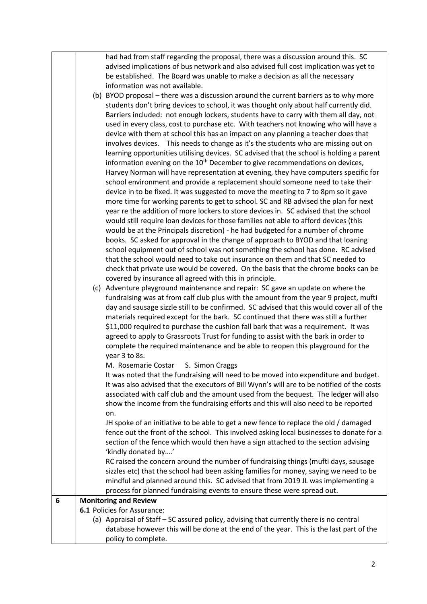| had had from staff regarding the proposal, there was a discussion around this. SC     |  |  |  |
|---------------------------------------------------------------------------------------|--|--|--|
| advised implications of bus network and also advised full cost implication was yet to |  |  |  |
| be established. The Board was unable to make a decision as all the necessary          |  |  |  |
| information was not available.                                                        |  |  |  |

- (b) BYOD proposal there was a discussion around the current barriers as to why more students don't bring devices to school, it was thought only about half currently did. Barriers included: not enough lockers, students have to carry with them all day, not used in every class, cost to purchase etc. With teachers not knowing who will have a device with them at school this has an impact on any planning a teacher does that involves devices. This needs to change as it's the students who are missing out on learning opportunities utilising devices. SC advised that the school is holding a parent information evening on the  $10<sup>th</sup>$  December to give recommendations on devices, Harvey Norman will have representation at evening, they have computers specific for school environment and provide a replacement should someone need to take their device in to be fixed. It was suggested to move the meeting to 7 to 8pm so it gave more time for working parents to get to school. SC and RB advised the plan for next year re the addition of more lockers to store devices in. SC advised that the school would still require loan devices for those families not able to afford devices (this would be at the Principals discretion) - he had budgeted for a number of chrome books. SC asked for approval in the change of approach to BYOD and that loaning school equipment out of school was not something the school has done. RC advised that the school would need to take out insurance on them and that SC needed to check that private use would be covered. On the basis that the chrome books can be covered by insurance all agreed with this in principle.
	- (c) Adventure playground maintenance and repair: SC gave an update on where the fundraising was at from calf club plus with the amount from the year 9 project, mufti day and sausage sizzle still to be confirmed. SC advised that this would cover all of the materials required except for the bark. SC continued that there was still a further \$11,000 required to purchase the cushion fall bark that was a requirement. It was agreed to apply to Grassroots Trust for funding to assist with the bark in order to complete the required maintenance and be able to reopen this playground for the year 3 to 8s.
		- M. Rosemarie Costar S. Simon Craggs

It was noted that the fundraising will need to be moved into expenditure and budget. It was also advised that the executors of Bill Wynn's will are to be notified of the costs associated with calf club and the amount used from the bequest. The ledger will also show the income from the fundraising efforts and this will also need to be reported on.

JH spoke of an initiative to be able to get a new fence to replace the old / damaged fence out the front of the school. This involved asking local businesses to donate for a section of the fence which would then have a sign attached to the section advising 'kindly donated by….'

RC raised the concern around the number of fundraising things (mufti days, sausage sizzles etc) that the school had been asking families for money, saying we need to be mindful and planned around this. SC advised that from 2019 JL was implementing a process for planned fundraising events to ensure these were spread out.

## **6 Monitoring and Review**

**6.1** Policies for Assurance:

(a) Appraisal of Staff – SC assured policy, advising that currently there is no central database however this will be done at the end of the year. This is the last part of the policy to complete.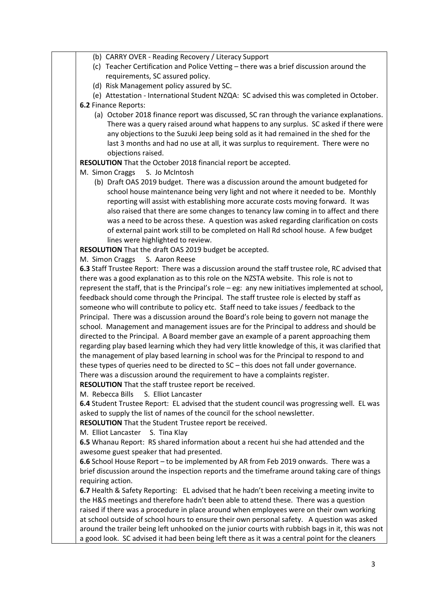- (b) CARRY OVER Reading Recovery / Literacy Support
- (c) Teacher Certification and Police Vetting there was a brief discussion around the requirements, SC assured policy.
- (d) Risk Management policy assured by SC.
- (e) Attestation International Student NZQA: SC advised this was completed in October.
- **6.2** Finance Reports:
	- (a) October 2018 finance report was discussed, SC ran through the variance explanations. There was a query raised around what happens to any surplus. SC asked if there were any objections to the Suzuki Jeep being sold as it had remained in the shed for the last 3 months and had no use at all, it was surplus to requirement. There were no objections raised.
- **RESOLUTION** That the October 2018 financial report be accepted.
- M. Simon Craggs S. Jo McIntosh
	- (b) Draft OAS 2019 budget. There was a discussion around the amount budgeted for school house maintenance being very light and not where it needed to be. Monthly reporting will assist with establishing more accurate costs moving forward. It was also raised that there are some changes to tenancy law coming in to affect and there was a need to be across these. A question was asked regarding clarification on costs of external paint work still to be completed on Hall Rd school house. A few budget lines were highlighted to review.

**RESOLUTION** That the draft OAS 2019 budget be accepted.

## M. Simon Craggs S. Aaron Reese

**6.3** Staff Trustee Report: There was a discussion around the staff trustee role, RC advised that there was a good explanation as to this role on the NZSTA website. This role is not to represent the staff, that is the Principal's role – eg: any new initiatives implemented at school, feedback should come through the Principal. The staff trustee role is elected by staff as someone who will contribute to policy etc. Staff need to take issues / feedback to the Principal. There was a discussion around the Board's role being to govern not manage the school. Management and management issues are for the Principal to address and should be directed to the Principal. A Board member gave an example of a parent approaching them regarding play based learning which they had very little knowledge of this, it was clarified that the management of play based learning in school was for the Principal to respond to and these types of queries need to be directed to SC – this does not fall under governance. There was a discussion around the requirement to have a complaints register.

**RESOLUTION** That the staff trustee report be received.

M. Rebecca Bills S. Elliot Lancaster

**6.4** Student Trustee Report: EL advised that the student council was progressing well. EL was asked to supply the list of names of the council for the school newsletter.

**RESOLUTION** That the Student Trustee report be received.

M. Elliot Lancaster S. Tina Klay

**6.5** Whanau Report: RS shared information about a recent hui she had attended and the awesome guest speaker that had presented.

**6.6** School House Report – to be implemented by AR from Feb 2019 onwards. There was a brief discussion around the inspection reports and the timeframe around taking care of things requiring action.

**6.7** Health & Safety Reporting: EL advised that he hadn't been receiving a meeting invite to the H&S meetings and therefore hadn't been able to attend these. There was a question raised if there was a procedure in place around when employees were on their own working at school outside of school hours to ensure their own personal safety. A question was asked around the trailer being left unhooked on the junior courts with rubbish bags in it, this was not a good look. SC advised it had been being left there as it was a central point for the cleaners